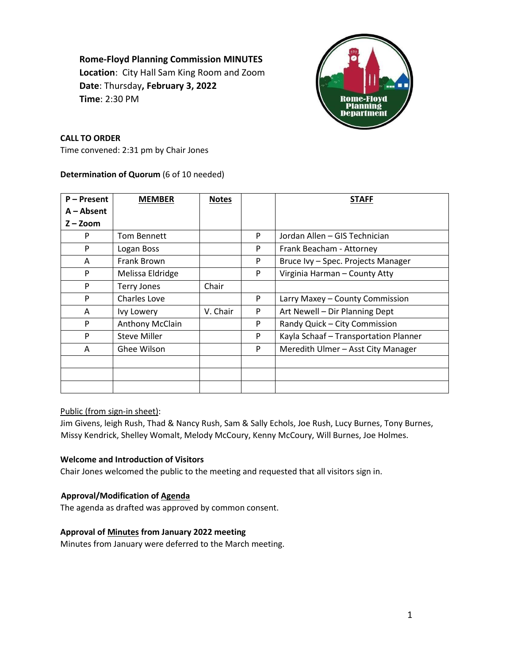# **Rome-Floyd Planning Commission MINUTES**

**Location**: City Hall Sam King Room and Zoom **Date**: Thursday**, February 3, 2022 Time**: 2:30 PM



# **CALL TO ORDER**

Time convened: 2:31 pm by Chair Jones

## **Determination of Quorum** (6 of 10 needed)

| P-Present    | <b>MEMBER</b>       | <b>Notes</b> |   | <b>STAFF</b>                          |
|--------------|---------------------|--------------|---|---------------------------------------|
| $A - Absent$ |                     |              |   |                                       |
| $Z - Z$ oom  |                     |              |   |                                       |
| P            | <b>Tom Bennett</b>  |              | P | Jordan Allen - GIS Technician         |
| P            | Logan Boss          |              | P | Frank Beacham - Attorney              |
| A            | Frank Brown         |              | P | Bruce Ivy - Spec. Projects Manager    |
| P            | Melissa Eldridge    |              | P | Virginia Harman - County Atty         |
| P            | <b>Terry Jones</b>  | Chair        |   |                                       |
| P            | Charles Love        |              | P | Larry Maxey - County Commission       |
| A            | Ivy Lowery          | V. Chair     | P | Art Newell - Dir Planning Dept        |
| P            | Anthony McClain     |              | P | Randy Quick - City Commission         |
| P            | <b>Steve Miller</b> |              | P | Kayla Schaaf - Transportation Planner |
| A            | Ghee Wilson         |              | P | Meredith Ulmer - Asst City Manager    |
|              |                     |              |   |                                       |
|              |                     |              |   |                                       |
|              |                     |              |   |                                       |

# Public (from sign-in sheet):

Jim Givens, leigh Rush, Thad & Nancy Rush, Sam & Sally Echols, Joe Rush, Lucy Burnes, Tony Burnes, Missy Kendrick, Shelley Womalt, Melody McCoury, Kenny McCoury, Will Burnes, Joe Holmes.

# **Welcome and Introduction of Visitors**

Chair Jones welcomed the public to the meeting and requested that all visitors sign in.

# **Approval/Modification of Agenda**

The agenda as drafted was approved by common consent.

# **Approval of Minutes from January 2022 meeting**

Minutes from January were deferred to the March meeting.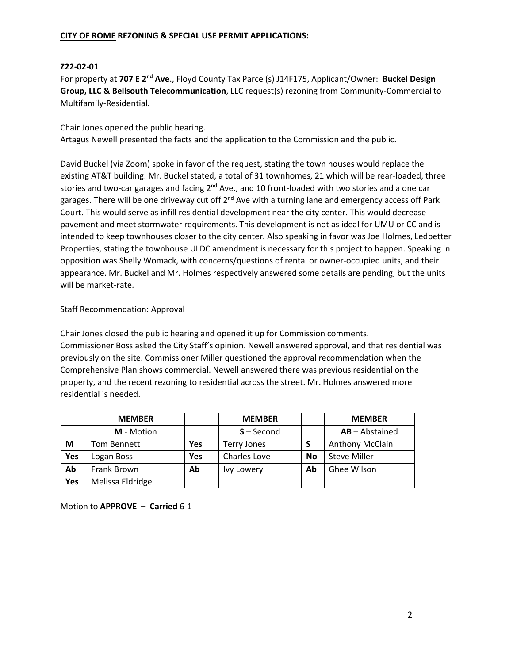## **CITY OF ROME REZONING & SPECIAL USE PERMIT APPLICATIONS:**

## **Z22-02-01**

For property at **707 E 2nd Ave**., Floyd County Tax Parcel(s) J14F175, Applicant/Owner: **Buckel Design Group, LLC & Bellsouth Telecommunication**, LLC request(s) rezoning from Community-Commercial to Multifamily-Residential.

Chair Jones opened the public hearing. Artagus Newell presented the facts and the application to the Commission and the public.

David Buckel (via Zoom) spoke in favor of the request, stating the town houses would replace the existing AT&T building. Mr. Buckel stated, a total of 31 townhomes, 21 which will be rear-loaded, three stories and two-car garages and facing 2<sup>nd</sup> Ave., and 10 front-loaded with two stories and a one car garages. There will be one driveway cut off 2<sup>nd</sup> Ave with a turning lane and emergency access off Park Court. This would serve as infill residential development near the city center. This would decrease pavement and meet stormwater requirements. This development is not as ideal for UMU or CC and is intended to keep townhouses closer to the city center. Also speaking in favor was Joe Holmes, Ledbetter Properties, stating the townhouse ULDC amendment is necessary for this project to happen. Speaking in opposition was Shelly Womack, with concerns/questions of rental or owner-occupied units, and their appearance. Mr. Buckel and Mr. Holmes respectively answered some details are pending, but the units will be market-rate.

## Staff Recommendation: Approval

Chair Jones closed the public hearing and opened it up for Commission comments. Commissioner Boss asked the City Staff's opinion. Newell answered approval, and that residential was previously on the site. Commissioner Miller questioned the approval recommendation when the Comprehensive Plan shows commercial. Newell answered there was previous residential on the property, and the recent rezoning to residential across the street. Mr. Holmes answered more residential is needed.

|     | <b>MEMBER</b>      |     | <b>MEMBER</b> |           | <b>MEMBER</b>        |
|-----|--------------------|-----|---------------|-----------|----------------------|
|     | M - Motion         |     | $S - Second$  |           | $AB - Abstractained$ |
| M   | <b>Tom Bennett</b> | Yes | Terry Jones   |           | Anthony McClain      |
| Yes | Logan Boss         | Yes | Charles Love  | <b>No</b> | <b>Steve Miller</b>  |
| Ab  | Frank Brown        | Ab  | Ivy Lowery    | Ab        | Ghee Wilson          |
| Yes | Melissa Eldridge   |     |               |           |                      |

Motion to **APPROVE – Carried** 6-1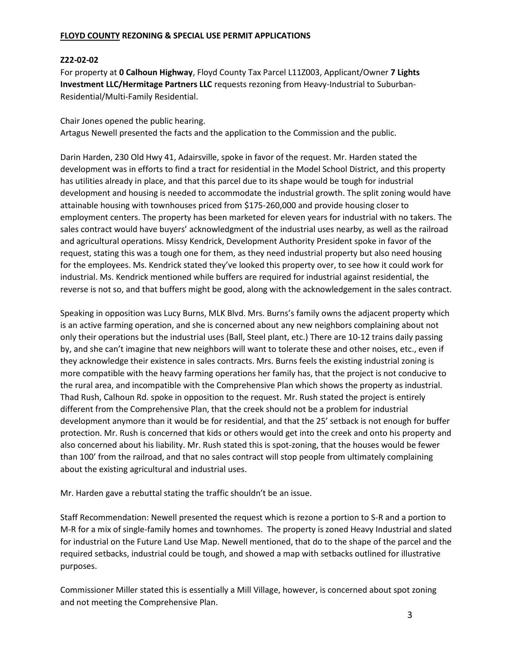## **FLOYD COUNTY REZONING & SPECIAL USE PERMIT APPLICATIONS**

## **Z22-02-02**

For property at **0 Calhoun Highway**, Floyd County Tax Parcel L11Z003, Applicant/Owner **7 Lights Investment LLC/Hermitage Partners LLC** requests rezoning from Heavy-Industrial to Suburban-Residential/Multi-Family Residential.

Chair Jones opened the public hearing. Artagus Newell presented the facts and the application to the Commission and the public.

Darin Harden, 230 Old Hwy 41, Adairsville, spoke in favor of the request. Mr. Harden stated the development was in efforts to find a tract for residential in the Model School District, and this property has utilities already in place, and that this parcel due to its shape would be tough for industrial development and housing is needed to accommodate the industrial growth. The split zoning would have attainable housing with townhouses priced from \$175-260,000 and provide housing closer to employment centers. The property has been marketed for eleven years for industrial with no takers. The sales contract would have buyers' acknowledgment of the industrial uses nearby, as well as the railroad and agricultural operations. Missy Kendrick, Development Authority President spoke in favor of the request, stating this was a tough one for them, as they need industrial property but also need housing for the employees. Ms. Kendrick stated they've looked this property over, to see how it could work for industrial. Ms. Kendrick mentioned while buffers are required for industrial against residential, the reverse is not so, and that buffers might be good, along with the acknowledgement in the sales contract.

Speaking in opposition was Lucy Burns, MLK Blvd. Mrs. Burns's family owns the adjacent property which is an active farming operation, and she is concerned about any new neighbors complaining about not only their operations but the industrial uses (Ball, Steel plant, etc.) There are 10-12 trains daily passing by, and she can't imagine that new neighbors will want to tolerate these and other noises, etc., even if they acknowledge their existence in sales contracts. Mrs. Burns feels the existing industrial zoning is more compatible with the heavy farming operations her family has, that the project is not conducive to the rural area, and incompatible with the Comprehensive Plan which shows the property as industrial. Thad Rush, Calhoun Rd. spoke in opposition to the request. Mr. Rush stated the project is entirely different from the Comprehensive Plan, that the creek should not be a problem for industrial development anymore than it would be for residential, and that the 25' setback is not enough for buffer protection. Mr. Rush is concerned that kids or others would get into the creek and onto his property and also concerned about his liability. Mr. Rush stated this is spot-zoning, that the houses would be fewer than 100' from the railroad, and that no sales contract will stop people from ultimately complaining about the existing agricultural and industrial uses.

Mr. Harden gave a rebuttal stating the traffic shouldn't be an issue.

Staff Recommendation: Newell presented the request which is rezone a portion to S-R and a portion to M-R for a mix of single-family homes and townhomes. The property is zoned Heavy Industrial and slated for industrial on the Future Land Use Map. Newell mentioned, that do to the shape of the parcel and the required setbacks, industrial could be tough, and showed a map with setbacks outlined for illustrative purposes.

Commissioner Miller stated this is essentially a Mill Village, however, is concerned about spot zoning and not meeting the Comprehensive Plan.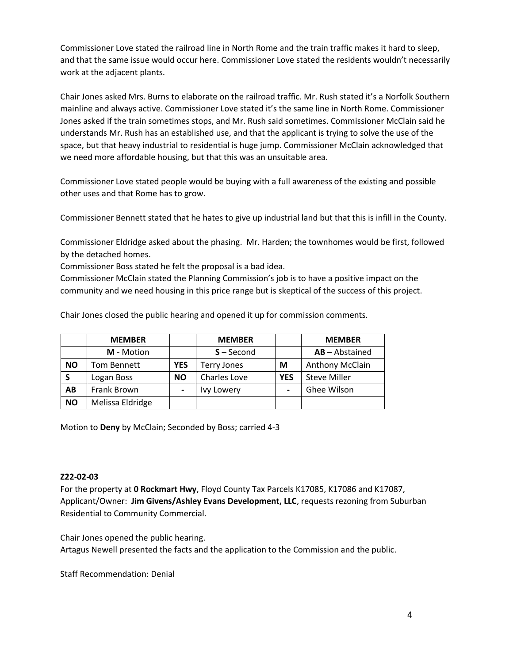Commissioner Love stated the railroad line in North Rome and the train traffic makes it hard to sleep, and that the same issue would occur here. Commissioner Love stated the residents wouldn't necessarily work at the adjacent plants.

Chair Jones asked Mrs. Burns to elaborate on the railroad traffic. Mr. Rush stated it's a Norfolk Southern mainline and always active. Commissioner Love stated it's the same line in North Rome. Commissioner Jones asked if the train sometimes stops, and Mr. Rush said sometimes. Commissioner McClain said he understands Mr. Rush has an established use, and that the applicant is trying to solve the use of the space, but that heavy industrial to residential is huge jump. Commissioner McClain acknowledged that we need more affordable housing, but that this was an unsuitable area.

Commissioner Love stated people would be buying with a full awareness of the existing and possible other uses and that Rome has to grow.

Commissioner Bennett stated that he hates to give up industrial land but that this is infill in the County.

Commissioner Eldridge asked about the phasing. Mr. Harden; the townhomes would be first, followed by the detached homes.

Commissioner Boss stated he felt the proposal is a bad idea.

Commissioner McClain stated the Planning Commission's job is to have a positive impact on the community and we need housing in this price range but is skeptical of the success of this project.

Chair Jones closed the public hearing and opened it up for commission comments.

|           | <b>MEMBER</b>    |            | <b>MEMBER</b>       |                | <b>MEMBER</b>       |
|-----------|------------------|------------|---------------------|----------------|---------------------|
|           | M - Motion       |            | $S - Second$        |                | AB-Abstained        |
| <b>NO</b> | Tom Bennett      | <b>YES</b> | <b>Terry Jones</b>  | M              | Anthony McClain     |
| <b>S</b>  | Logan Boss       | <b>NO</b>  | <b>Charles Love</b> | <b>YES</b>     | <b>Steve Miller</b> |
| AB        | Frank Brown      | -          | <b>Ivy Lowery</b>   | $\blacksquare$ | Ghee Wilson         |
| <b>NO</b> | Melissa Eldridge |            |                     |                |                     |

Motion to **Deny** by McClain; Seconded by Boss; carried 4-3

## **Z22-02-03**

For the property at **0 Rockmart Hwy**, Floyd County Tax Parcels K17085, K17086 and K17087, Applicant/Owner: **Jim Givens/Ashley Evans Development, LLC**, requests rezoning from Suburban Residential to Community Commercial.

Chair Jones opened the public hearing.

Artagus Newell presented the facts and the application to the Commission and the public.

Staff Recommendation: Denial